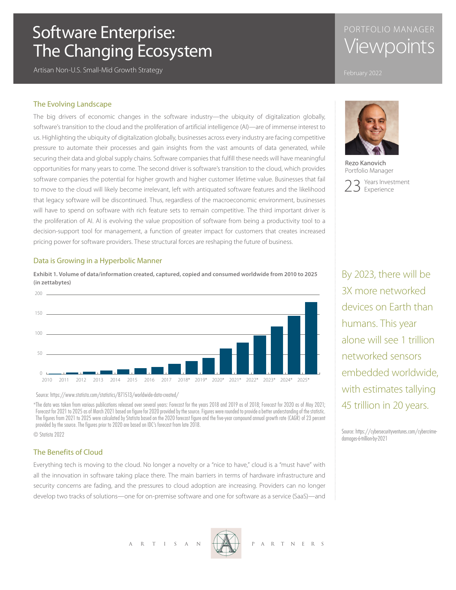# Software Enterprise: The Changing Ecosystem

Artisan Non-U.S. Small-Mid Growth Strategy

# PORTFOLIO MANAGER Viewpoints

## The Evolving Landscape

The big drivers of economic changes in the software industry—the ubiquity of digitalization globally, software's transition to the cloud and the proliferation of artificial intelligence (AI)—are of immense interest to us. Highlighting the ubiquity of digitalization globally, businesses across every industry are facing competitive pressure to automate their processes and gain insights from the vast amounts of data generated, while securing their data and global supply chains. Software companies that fulfill these needs will have meaningful opportunities for many years to come. The second driver is software's transition to the cloud, which provides software companies the potential for higher growth and higher customer lifetime value. Businesses that fail to move to the cloud will likely become irrelevant, left with antiquated software features and the likelihood that legacy software will be discontinued. Thus, regardless of the macroeconomic environment, businesses will have to spend on software with rich feature sets to remain competitive. The third important driver is the proliferation of AI. AI is evolving the value proposition of software from being a productivity tool to a decision-support tool for management, a function of greater impact for customers that creates increased pricing power for software providers. These structural forces are reshaping the future of business.

## Data is Growing in a Hyperbolic Manner

**Exhibit 1. Volume of data/information created, captured, copied and consumed worldwide from 2010 to 2025 (in zettabytes)**



Source: https://www.statista.com/statistics/871513/worldwide-data-created/

\*The data was taken from various publications released over several years: Forecast for the years 2018 and 2019 as of 2018; Forecast for 2020 as of May 2021; Forecast for 2021 to 2025 as of March 2021 based on figure for 2020 provided by the source. Figures were rounded to provide a better understanding of the statistic. The figures from 2021 to 2025 were calculated by Statista based on the 2020 forecast figure and the five-year compound annual growth rate (CAGR) of 23 percent provided by the source. The figures prior to 2020 are based on IDC's forecast from late 2018.

© Statista 2022

## The Benefits of Cloud

Everything tech is moving to the cloud. No longer a novelty or a "nice to have," cloud is a "must have" with all the innovation in software taking place there. The main barriers in terms of hardware infrastructure and security concerns are fading, and the pressures to cloud adoption are increasing. Providers can no longer develop two tracks of solutions—one for on-premise software and one for software as a service (SaaS)—and



Rezo Kanovich Portfolio Manager



By 2023, there will be 3X more networked devices on Earth than humans. This year alone will see 1 trillion networked sensors embedded worldwide, with estimates tallying 45 trillion in 20 years.

Source: https://cybersecurityventures.com/cybercrimedamages-6-trillion-by-2021

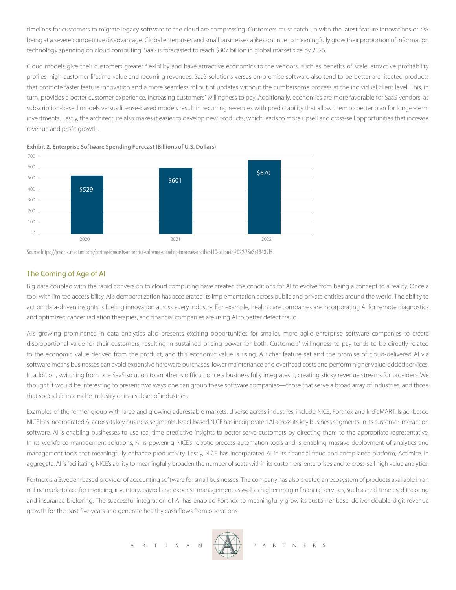timelines for customers to migrate legacy software to the cloud are compressing. Customers must catch up with the latest feature innovations or risk being at a severe competitive disadvantage. Global enterprises and small businesses alike continue to meaningfully grow their proportion of information technology spending on cloud computing. SaaS is forecasted to reach \$307 billion in global market size by 2026.

Cloud models give their customers greater flexibility and have attractive economics to the vendors, such as benefits of scale, attractive profitability profiles, high customer lifetime value and recurring revenues. SaaS solutions versus on-premise software also tend to be better architected products that promote faster feature innovation and a more seamless rollout of updates without the cumbersome process at the individual client level. This, in turn, provides a better customer experience, increasing customers' willingness to pay. Additionally, economics are more favorable for SaaS vendors, as subscription-based models versus license-based models result in recurring revenues with predictability that allow them to better plan for longer-term investments. Lastly, the architecture also makes it easier to develop new products, which leads to more upsell and cross-sell opportunities that increase revenue and profit growth.

**Exhibit 2. Enterprise Software Spending Forecast (Billions of U.S. Dollars)**



Source: https://jasonlk.medium.com/gartner-forecasts-enterprise-software-spending-increases-another-110-billion-in-2022-75e3c43439f5

## The Coming of Age of AI

Big data coupled with the rapid conversion to cloud computing have created the conditions for AI to evolve from being a concept to a reality. Once a tool with limited accessibility, AI's democratization has accelerated its implementation across public and private entities around the world. The ability to act on data-driven insights is fueling innovation across every industry. For example, health care companies are incorporating AI for remote diagnostics and optimized cancer radiation therapies, and financial companies are using AI to better detect fraud.

AI's growing prominence in data analytics also presents exciting opportunities for smaller, more agile enterprise software companies to create disproportional value for their customers, resulting in sustained pricing power for both. Customers' willingness to pay tends to be directly related to the economic value derived from the product, and this economic value is rising. A richer feature set and the promise of cloud-delivered AI via software means businesses can avoid expensive hardware purchases, lower maintenance and overhead costs and perform higher value-added services. In addition, switching from one SaaS solution to another is difficult once a business fully integrates it, creating sticky revenue streams for providers. We thought it would be interesting to present two ways one can group these software companies—those that serve a broad array of industries, and those that specialize in a niche industry or in a subset of industries.

Examples of the former group with large and growing addressable markets, diverse across industries, include NICE, Fortnox and IndiaMART. Israel-based NICE has incorporated AI across its key business segments. Israel-based NICE has incorporated AI across its key business segments. In its customer interaction software, AI is enabling businesses to use real-time predictive insights to better serve customers by directing them to the appropriate representative. In its workforce management solutions, AI is powering NICE's robotic process automation tools and is enabling massive deployment of analytics and management tools that meaningfully enhance productivity. Lastly, NICE has incorporated AI in its financial fraud and compliance platform, Actimize. In aggregate, AI is facilitating NICE's ability to meaningfully broaden the number of seats within its customers' enterprises and to cross-sell high value analytics.

Fortnox is a Sweden-based provider of accounting software for small businesses. The company has also created an ecosystem of products available in an online marketplace for invoicing, inventory, payroll and expense management as well as higher margin financial services, such as real-time credit scoring and insurance brokering. The successful integration of AI has enabled Fortnox to meaningfully grow its customer base, deliver double-digit revenue growth for the past five years and generate healthy cash flows from operations.

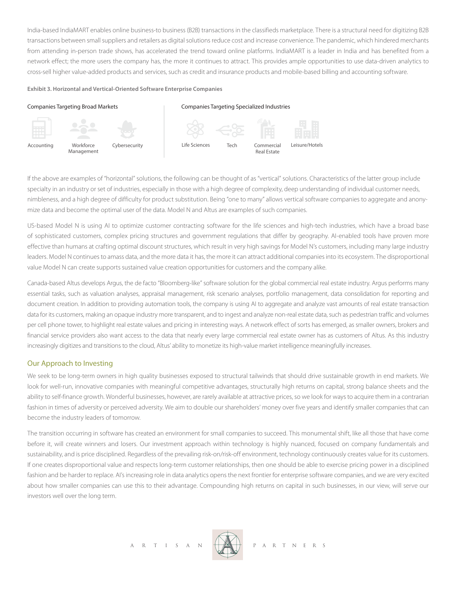India-based IndiaMART enables online business-to business (B2B) transactions in the classifieds marketplace. There is a structural need for digitizing B2B transactions between small suppliers and retailers as digital solutions reduce cost and increase convenience. The pandemic, which hindered merchants from attending in-person trade shows, has accelerated the trend toward online platforms. IndiaMART is a leader in India and has benefited from a network effect; the more users the company has, the more it continues to attract. This provides ample opportunities to use data-driven analytics to cross-sell higher value-added products and services, such as credit and insurance products and mobile-based billing and accounting software.

#### **Exhibit 3. Horizontal and Vertical-Oriented Software Enterprise Companies**

### Companies Targeting Broad Markets

### Companies Targeting Specialized Industries



Accounting Workforce Management



Tech Commercial Real Estate Life Sciences Tech Commercial Leisure/Hotels

If the above are examples of "horizontal" solutions, the following can be thought of as "vertical" solutions. Characteristics of the latter group include specialty in an industry or set of industries, especially in those with a high degree of complexity, deep understanding of individual customer needs, nimbleness, and a high degree of difficulty for product substitution. Being "one to many" allows vertical software companies to aggregate and anonymize data and become the optimal user of the data. Model N and Altus are examples of such companies.

US-based Model N is using AI to optimize customer contracting software for the life sciences and high-tech industries, which have a broad base of sophisticated customers, complex pricing structures and government regulations that differ by geography. AI-enabled tools have proven more effective than humans at crafting optimal discount structures, which result in very high savings for Model N's customers, including many large industry leaders. Model N continues to amass data, and the more data it has, the more it can attract additional companies into its ecosystem. The disproportional value Model N can create supports sustained value creation opportunities for customers and the company alike.

Canada-based Altus develops Argus, the de facto "Bloomberg-like" software solution for the global commercial real estate industry. Argus performs many essential tasks, such as valuation analyses, appraisal management, risk scenario analyses, portfolio management, data consolidation for reporting and document creation. In addition to providing automation tools, the company is using AI to aggregate and analyze vast amounts of real estate transaction data for its customers, making an opaque industry more transparent, and to ingest and analyze non-real estate data, such as pedestrian traffic and volumes per cell phone tower, to highlight real estate values and pricing in interesting ways. A network effect of sorts has emerged, as smaller owners, brokers and financial service providers also want access to the data that nearly every large commercial real estate owner has as customers of Altus. As this industry increasingly digitizes and transitions to the cloud, Altus' ability to monetize its high-value market intelligence meaningfully increases.

## Our Approach to Investing

We seek to be long-term owners in high quality businesses exposed to structural tailwinds that should drive sustainable growth in end markets. We look for well-run, innovative companies with meaningful competitive advantages, structurally high returns on capital, strong balance sheets and the ability to self-finance growth. Wonderful businesses, however, are rarely available at attractive prices, so we look for ways to acquire them in a contrarian fashion in times of adversity or perceived adversity. We aim to double our shareholders' money over five years and identify smaller companies that can become the industry leaders of tomorrow.

The transition occurring in software has created an environment for small companies to succeed. This monumental shift, like all those that have come before it, will create winners and losers. Our investment approach within technology is highly nuanced, focused on company fundamentals and sustainability, and is price disciplined. Regardless of the prevailing risk-on/risk-off environment, technology continuously creates value for its customers. If one creates disproportional value and respects long-term customer relationships, then one should be able to exercise pricing power in a disciplined fashion and be harder to replace. Al's increasing role in data analytics opens the next frontier for enterprise software companies, and we are very excited about how smaller companies can use this to their advantage. Compounding high returns on capital in such businesses, in our view, will serve our investors well over the long term.